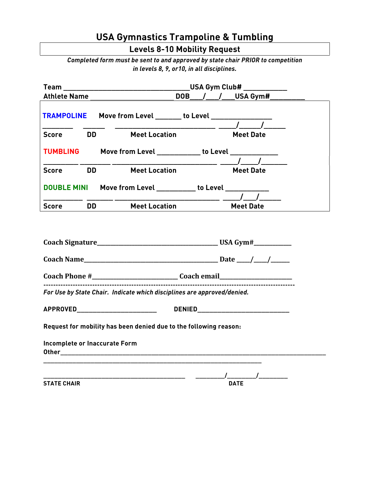## **USA Gymnastics Trampoline & Tumbling**

**Levels 8-10 Mobility Request**

*Completed form must be sent to and approved by state chair PRIOR to competition in levels 8, 9, or10, in all disciplines.*

|                                                                                  |           | <b>Team</b> USA Gym Club#                                               |                                                                                                                                                                                                                                                                                                                                         |  |
|----------------------------------------------------------------------------------|-----------|-------------------------------------------------------------------------|-----------------------------------------------------------------------------------------------------------------------------------------------------------------------------------------------------------------------------------------------------------------------------------------------------------------------------------------|--|
| <b>Athlete Name</b>                                                              |           |                                                                         | DOB / / USA Gym#                                                                                                                                                                                                                                                                                                                        |  |
|                                                                                  |           | TRAMPOLINE Move from Level _______ to Level ________________            |                                                                                                                                                                                                                                                                                                                                         |  |
| <b>Score</b>                                                                     | <b>DD</b> | <b>Meet Location</b>                                                    | <b>Meet Date</b>                                                                                                                                                                                                                                                                                                                        |  |
|                                                                                  |           | TUMBLING Move from Level ___________ to Level ____________              |                                                                                                                                                                                                                                                                                                                                         |  |
| <b>Score</b>                                                                     | <b>DD</b> | <b>Meet Location</b>                                                    | $\frac{1}{2}$ $\frac{1}{2}$ $\frac{1}{2}$ $\frac{1}{2}$ $\frac{1}{2}$ $\frac{1}{2}$ $\frac{1}{2}$ $\frac{1}{2}$ $\frac{1}{2}$ $\frac{1}{2}$ $\frac{1}{2}$ $\frac{1}{2}$ $\frac{1}{2}$ $\frac{1}{2}$ $\frac{1}{2}$ $\frac{1}{2}$ $\frac{1}{2}$ $\frac{1}{2}$ $\frac{1}{2}$ $\frac{1}{2}$ $\frac{1}{2}$ $\frac{1}{2}$<br><b>Meet Date</b> |  |
| DOUBLE MINI Move from Level __________ to Level __________                       |           |                                                                         |                                                                                                                                                                                                                                                                                                                                         |  |
| <b>Score</b>                                                                     | <b>DD</b> | <b>Meet Location</b>                                                    | <b>Meet Date</b>                                                                                                                                                                                                                                                                                                                        |  |
|                                                                                  |           |                                                                         |                                                                                                                                                                                                                                                                                                                                         |  |
| Coach Phone #_________________________________Coach email_______________________ |           |                                                                         |                                                                                                                                                                                                                                                                                                                                         |  |
|                                                                                  |           | For Use by State Chair. Indicate which disciplines are approved/denied. |                                                                                                                                                                                                                                                                                                                                         |  |
| <b>APPROVED________________________</b>                                          |           |                                                                         |                                                                                                                                                                                                                                                                                                                                         |  |
|                                                                                  |           | Request for mobility has been denied due to the following reason:       |                                                                                                                                                                                                                                                                                                                                         |  |
| Incomplete or Inaccurate Form                                                    |           |                                                                         |                                                                                                                                                                                                                                                                                                                                         |  |
|                                                                                  |           |                                                                         |                                                                                                                                                                                                                                                                                                                                         |  |
| <b>STATE CHAIR</b>                                                               |           |                                                                         | <b>DATE</b>                                                                                                                                                                                                                                                                                                                             |  |